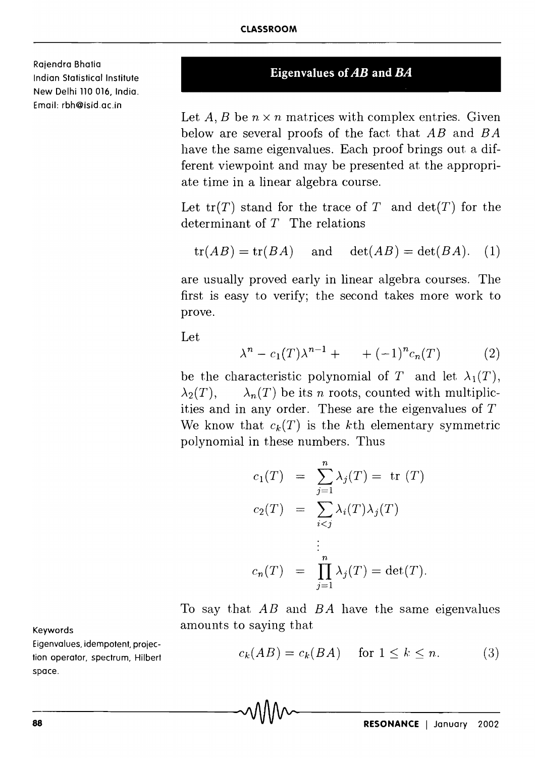Rajendra Bhatia Indian Statistical Institute New Delhi 110 016, India. Email: rbh@isid.ac.in

## **Eigenvalues of** *AB* **and** *BA*

Let  $A, B$  be  $n \times n$  matrices with complex entries. Given below are several proofs of the fact that *AB* and *B A*  have the same eigenvalues. Each proof brings out a different viewpoint and may be presented at the appropriate time in a linear algebra course.

Let  $tr(T)$  stand for the trace of T and  $det(T)$  for the determinant of  $T$  The relations

$$
tr(AB) = tr(BA)
$$
 and  $det(AB) = det(BA)$ . (1)

are usually proved early in linear algebra courses. The first is easy to verify; the second takes more work to prove.

Let

$$
\lambda^{n} - c_{1}(T)\lambda^{n-1} + (-1)^{n}c_{n}(T) \qquad (2)
$$

be the characteristic polynomial of T and let  $\lambda_1(T)$ ,  $\lambda_2(T)$ ,  $\lambda_n(T)$  be its *n* roots, counted with multiplicities and in any order. These are the eigenvalues of T We know that  $c_k(T)$  is the kth elementary symmetric polynomial in these numbers. Thus

$$
c_1(T) = \sum_{j=1}^n \lambda_j(T) = \text{tr}(T)
$$
  
\n
$$
c_2(T) = \sum_{i < j} \lambda_i(T) \lambda_j(T)
$$
  
\n
$$
\vdots
$$
  
\n
$$
c_n(T) = \prod_{j=1}^n \lambda_j(T) = \det(T).
$$

To say that *AB* and *B A* have the same eigenvalues amounts to saying that

> $c_k(AB) = c_k(BA)$  for  $1 \leq k \leq n$ . (3)

Keywords

Eigenvalues, idempotent, projection operator, spectrum, Hilbert space.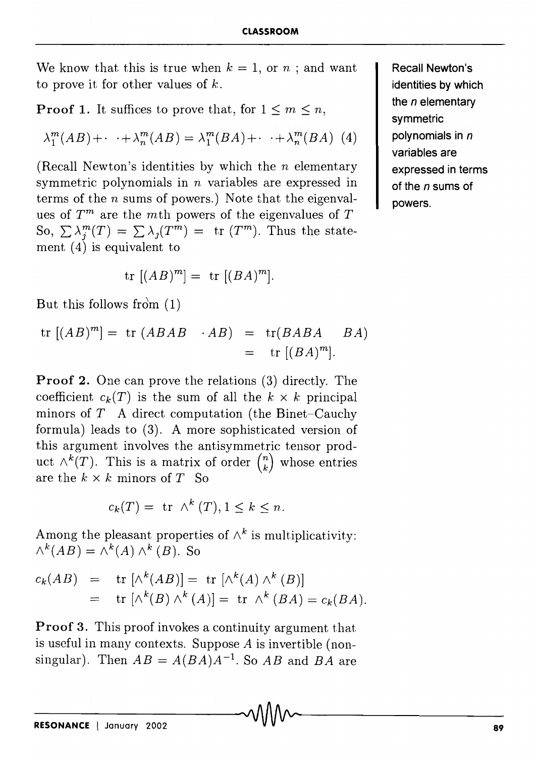We know that this is true when  $k = 1$ , or  $n :$  and want to prove it for other values of *k.* 

**Proof 1.** It suffices to prove that, for  $1 \leq m \leq n$ ,

$$
\lambda_1^m(AB) + \cdot \cdot \cdot + \lambda_n^m(AB) = \lambda_1^m(BA) + \cdot \cdot \cdot + \lambda_n^m(BA) \tag{4}
$$

(Recall Newton's identities by which the  $n$  elementary symmetric polynomials in *n* variables are expressed in terms of the *n* sums of powers.) Note that the eigenvalues of  $T<sup>m</sup>$  are the *m*th powers of the eigenvalues of  $T$ So,  $\sum \lambda_i^m(T) = \sum \lambda_i(T^m) = \text{tr}(T^m)$ . Thus the statement  $(4)$  is equivalent to

$$
\operatorname{tr} [(AB)^m] = \operatorname{tr} [(BA)^m].
$$

But this follows from  $(1)$ 

$$
\text{tr} [(AB)^m] = \text{tr} (ABAB \cdot AB) = \text{tr}(BABA \cdot BA)
$$
  
= 
$$
\text{tr} [(BA)^m].
$$

Proof 2. One can prove the relations (3) directly. The coefficient  $c_k(T)$  is the sum of all the  $k \times k$  principal minors of  $T$  A direct computation (the Binet-Cauchy formula) leads to (3). A more sophisticated version of this argument involves the antisymmetric tensor product  $\wedge^k(T)$ . This is a matrix of order  $\binom{n}{k}$  whose entries are the  $k \times k$  minors of  $T$  So

$$
c_k(T) = \text{tr } \wedge^k(T), 1 \le k \le n
$$

Among the pleasant properties of  $\wedge^k$  is multiplicativity:  $\wedge^k(AB) = \wedge^k(A) \wedge^k(B)$ . So

$$
c_k(AB) = \text{tr} [\wedge^k(AB)] = \text{tr} [\wedge^k(A) \wedge^k(B)]
$$
  
= tr [\wedge^k(B) \wedge^k(A)] = tr \wedge^k(BA) = c\_k(BA).

Proof 3. This proof invokes a continuity argument that is useful in many contexts. Suppose A is invertible (nonsingular). Then  $AB = A(BA)A^{-1}$ . So  $AB$  and  $BA$  are

Recall Newton's identities by which the *n* elementary symmetric polynomials in *n*  variables are expressed in terms of the *n* sums of powers.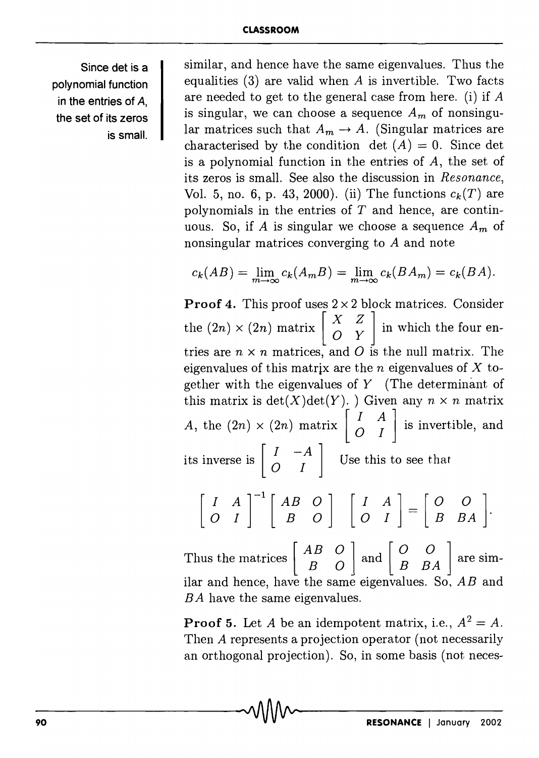Since det is a polynomial function in the entries of A, the set of its zeros is small.

similar, and hence have the same eigenvalues. Thus the equalities  $(3)$  are valid when A is invertible. Two facts are needed to get to the general case from here. (i) if *A*  is singular, we can choose a sequence  $A_m$  of nonsingular matrices such that  $A_m \to A$ . (Singular matrices are characterised by the condition det  $(A) = 0$ . Since det is a polynomial function in the entries of A, the set of its zeros is small. See also the discussion in *Resonance,*  Vol. 5, no. 6, p. 43, 2000). (ii) The functions  $c_k(T)$  are polynomials in the entries of *T* and hence, are continuous. So, if *A* is singular we choose a sequence *Am* of nonsingular matrices converging to *A* and note

$$
c_k(AB) = \lim_{m \to \infty} c_k(A_m B) = \lim_{m \to \infty} c_k(BA_m) = c_k(BA).
$$

**Proof 4.** This proof uses  $2 \times 2$  block matrices. Consider the  $(2n) \times (2n)$  matrix  $\begin{bmatrix} X & Z \\ O & Y \end{bmatrix}$  in which the four entries are  $n \times n$  matrices, and O is the null matrix. The eigenvalues of this matrix are the *n* eigenvalues of X together with the eigenvalues of  $Y$  (The determinant of this matrix is  $det(X)det(Y)$ . ) Given any  $n \times n$  matrix A, the  $(2n) \times (2n)$  matrix  $\begin{bmatrix} I & A \\ O & I \end{bmatrix}$  is invertible, and its inverse is  $\begin{bmatrix} I & -A \\ O & I \end{bmatrix}$  Use this to see that  $\begin{bmatrix} I & A \\ O & I \end{bmatrix}^{-1} \begin{bmatrix} AB & O \\ B & O \end{bmatrix} \begin{bmatrix} I & A \\ O & I \end{bmatrix} = \begin{bmatrix} O & O \\ B & BA \end{bmatrix}.$ 

Thus the matrices  $\begin{bmatrix} AB & O \\ B & O \end{bmatrix}$  and  $\begin{bmatrix} O & O \\ B & BA \end{bmatrix}$  are similar and hence, have the same eigenvalues. So, *AB* and *BA* have the same eigenvalues.

**Proof 5.** Let *A* be an idempotent matrix, i.e.,  $A^2 = A$ . Then A represents a projection operator (not necessarily an orthogonal projection). So, in some basis (not neces-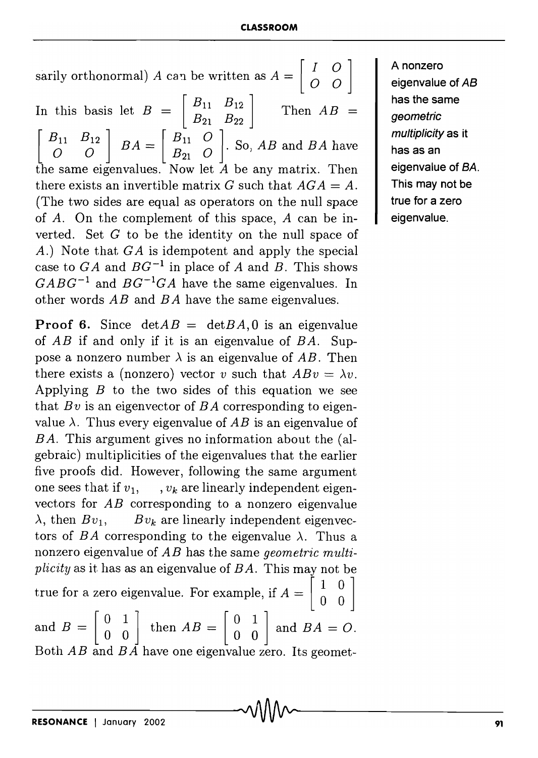sarily orthonormal) A can be written as  $A = \begin{bmatrix} I & O \\ O & O \end{bmatrix}$ In this basis let  $B = \begin{bmatrix} B_{11} & B_{12} \\ B_{21} & B_{22} \end{bmatrix}$  Then  $AB =$  $\begin{bmatrix} B_{11} & B_{12} \\ O & O \end{bmatrix}$   $BA = \begin{bmatrix} B_{11} & O \\ B_{21} & O \end{bmatrix}$ . So, *AB* and *BA* have the same eigenvalues. Now let *A* be any matrix. Then there exists an invertible matrix G such that  $AGA = A$ . (The two sides are equal as operators on the null space of *A.* On the complement of this space, *A* can be inverted. Set  $G$  to be the identity on the null space of A.) Note that GA is idempotent and apply the special case to  $GA$  and  $BG^{-1}$  in place of *A* and *B*. This shows *CABC-l* and *BC-lCA* have the same eigenvalues. In other words *AB* and *B A* have the same eigenvalues.

**Proof 6.** Since  $detAB = detBA$ , 0 is an eigenvalue of *AB* if and only if it is an eigenvalue of *BA.* Suppose a nonzero number  $\lambda$  is an eigenvalue of AB. Then there exists a (nonzero) vector *v* such that  $ABv = \lambda v$ . Applying *B* to the two sides of this equation we see that *Bv* is an eigenvector of *BA* corresponding to eigenvalue  $\lambda$ . Thus every eigenvalue of AB is an eigenvalue of *B A.* This argument gives no information about the (algebraic) Inultiplicities of the eigenvalues that the earlier five proofs did. However, following the same argument one sees that if  $v_1$ ,  $v_k$  are linearly independent eigenvectors for *AB* corresponding to a nonzero eigenvalue  $\lambda$ , then  $Bv_1$ ,  $Bv_k$  are linearly independent eigenvectors of *BA* corresponding to the eigenvalue  $\lambda$ . Thus a nonzero eigenvalue of *AB* has the same *geometric multiplicity* as it has as an eigenvalue of *BA.* This may not be true for a zero eigenvalue. For example, if  $A = \begin{bmatrix} 1 & 0 \\ 0 & 0 \end{bmatrix}$ and  $B = \begin{bmatrix} 0 & 1 \\ 0 & 0 \end{bmatrix}$  then  $AB = \begin{bmatrix} 0 & 1 \\ 0 & 0 \end{bmatrix}$  and  $BA = O$ . Both *AB* and *BA* have one eigenvalue zero. Its geometA nonzero eigenvalue of *AB*  has the same geometric multiplicity as it has as an eigenvalue of *BA.*  This may not be true for a zero eigenvalue.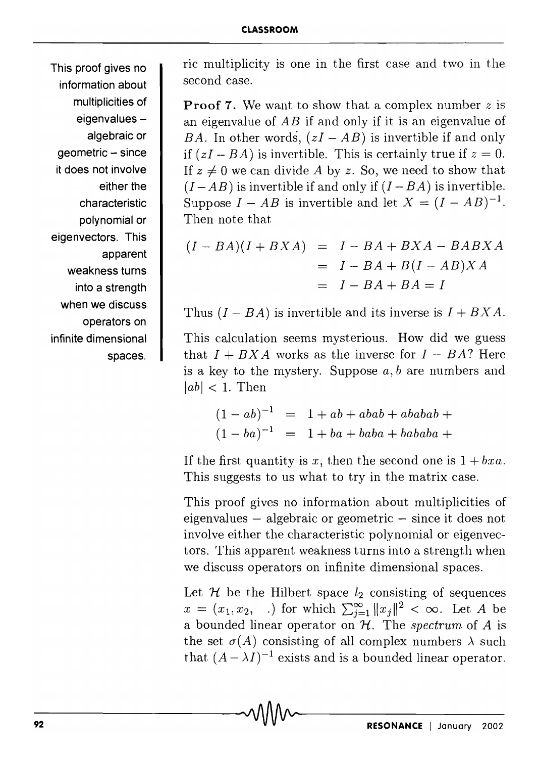This proof gives no information about multiplicities of eigenvalues algebraic or geometric - since it does not involve either the characteristic polynomial or eigenvectors. This apparent weakness turns into a strength when we discuss operators on infinite dimensional spaces.

ric multiplicity is one in the first case and two in the second case.

**Proof 7.** We want to show that a complex number z is an eigenvalue of *AB* if and only if it is an eigenvalue of *BA.* In other words,  $(zI - AB)$  is invertible if and only if  $(zI - BA)$  is invertible. This is certainly true if  $z = 0$ . If  $z \neq 0$  we can divide A by z. So, we need to show that  $(I - AB)$  is invertible if and only if  $(I - BA)$  is invertible. Suppose  $I - AB$  is invertible and let  $X = (I - AB)^{-1}$ . Then note that

$$
(I - BA)(I + BXA) = I - BA + BXA - BABXA
$$
  
= I - BA + B(I - AB)XA  
= I - BA + BA = I

Thus  $(I - BA)$  is invertible and its inverse is  $I + BXA$ .

This calculation seems mysterious. How did we guess that  $I + BXA$  works as the inverse for  $I - BA$ ? Here is a key to the mystery. Suppose *a, b* are numbers and  $|ab|$  < 1. Then

$$
(1 - ab)^{-1} = 1 + ab + abab + ababab +
$$
  

$$
(1 - ba)^{-1} = 1 + ba + baba + bababa +
$$

If the first quantity is x, then the second one is  $1 + bxa$ . This suggests to us what to try in the matrix case.

This proof gives no information about multiplicities of eigenvalues  $-$  algebraic or geometric  $-$  since it does not involve either the characteristic polynomial or eigenvectors. This apparent weakness turns into a strength when we discuss operators on infinite dimensional spaces.

Let  $H$  be the Hilbert space  $l_2$  consisting of sequences  $x = (x_1, x_2, \ldots)$  for which  $\sum_{j=1}^{\infty} ||x_j||^2 < \infty$ . Let *A* be a bounded linear operator on  $H$ . The *spectrum* of A is the set  $\sigma(A)$  consisting of all complex numbers  $\lambda$  such that  $(A - \lambda I)^{-1}$  exists and is a bounded linear operator.